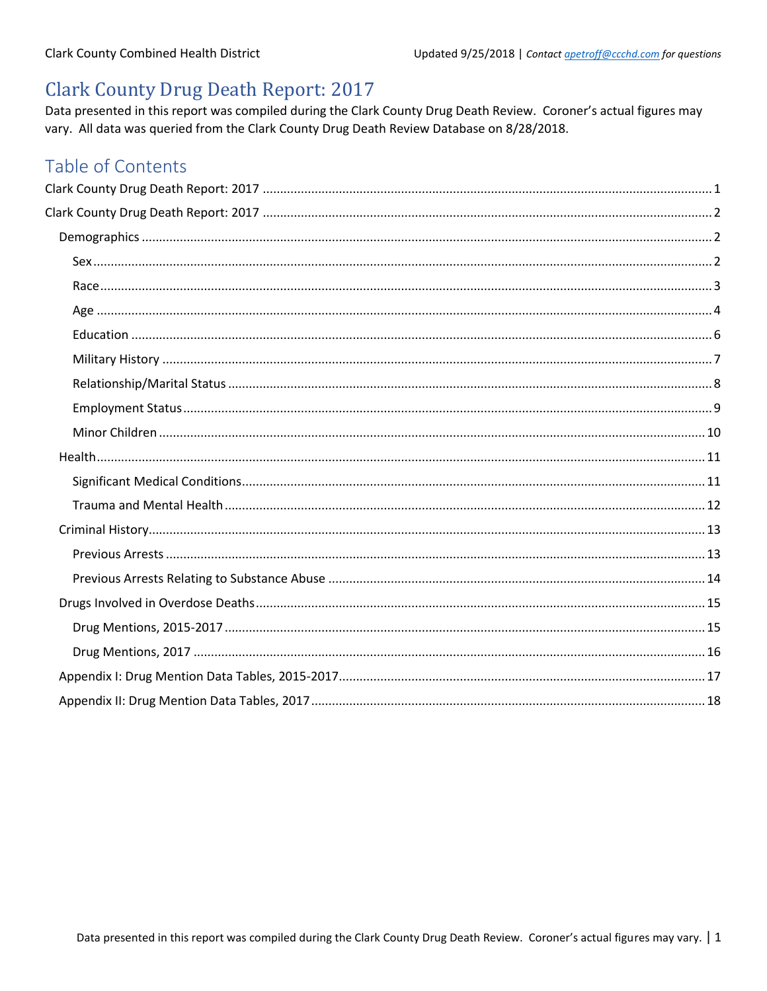## <span id="page-0-0"></span>**Clark County Drug Death Report: 2017**

Data presented in this report was compiled during the Clark County Drug Death Review. Coroner's actual figures may vary. All data was queried from the Clark County Drug Death Review Database on 8/28/2018.

## Table of Contents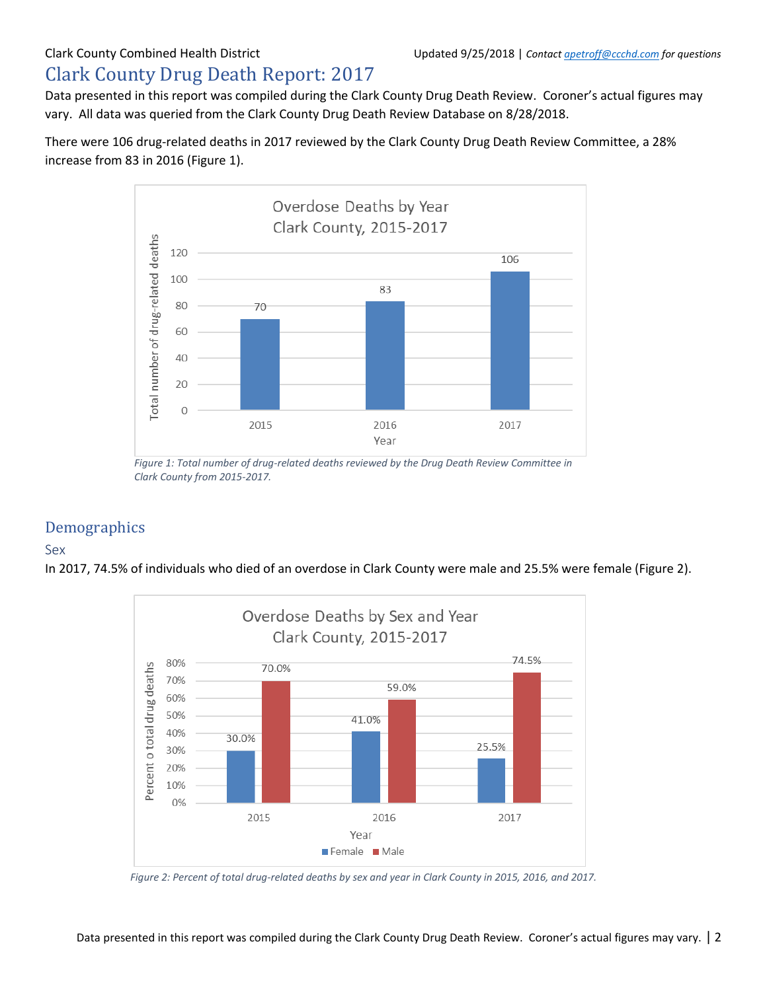# <span id="page-1-0"></span>Clark County Drug Death Report: 2017

Data presented in this report was compiled during the Clark County Drug Death Review. Coroner's actual figures may vary. All data was queried from the Clark County Drug Death Review Database on 8/28/2018.

There were 106 drug-related deaths in 2017 reviewed by the Clark County Drug Death Review Committee, a 28% increase from 83 in 2016 (Figure 1).



*Figure 1: Total number of drug-related deaths reviewed by the Drug Death Review Committee in Clark County from 2015-2017.*

### <span id="page-1-1"></span>Demographics

### <span id="page-1-2"></span>Sex

In 2017, 74.5% of individuals who died of an overdose in Clark County were male and 25.5% were female (Figure 2).



*Figure 2: Percent of total drug-related deaths by sex and year in Clark County in 2015, 2016, and 2017.*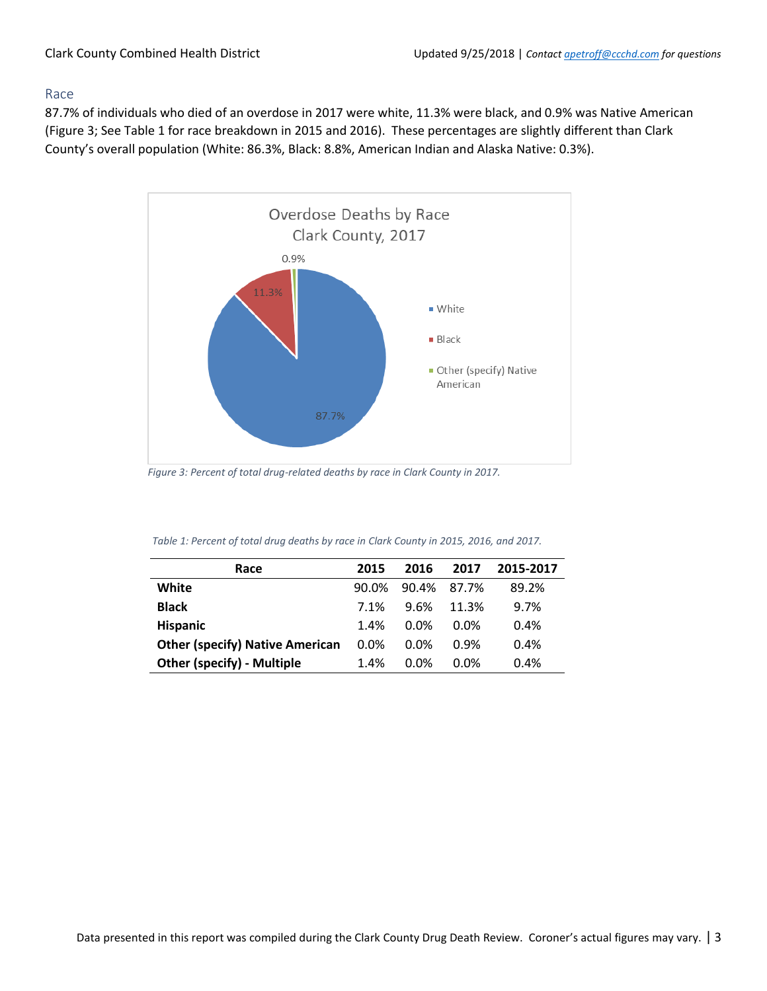#### <span id="page-2-0"></span>Race

87.7% of individuals who died of an overdose in 2017 were white, 11.3% were black, and 0.9% was Native American (Figure 3; See Table 1 for race breakdown in 2015 and 2016). These percentages are slightly different than Clark County's overall population (White: 86.3%, Black: 8.8%, American Indian and Alaska Native: 0.3%).



*Figure 3: Percent of total drug-related deaths by race in Clark County in 2017.*

| Race                                   | 2015  | 2016        | 2017             | 2015-2017 |
|----------------------------------------|-------|-------------|------------------|-----------|
| White                                  | 90.0% | 90.4% 87.7% |                  | 89.2%     |
| <b>Black</b>                           | 7.1%  | 9.6%        | 11.3%            | 9.7%      |
| <b>Hispanic</b>                        | 1.4%  | $0.0\%$     | 0.0 <sub>%</sub> | 0.4%      |
| <b>Other (specify) Native American</b> | 0.0%  | $0.0\%$     | 0.9%             | 0.4%      |
| <b>Other (specify) - Multiple</b>      | 1.4%  | $0.0\%$     | 0.0%             | 0.4%      |

| Table 1: Percent of total drug deaths by race in Clark County in 2015, 2016, and 2017. |  |  |  |
|----------------------------------------------------------------------------------------|--|--|--|
|----------------------------------------------------------------------------------------|--|--|--|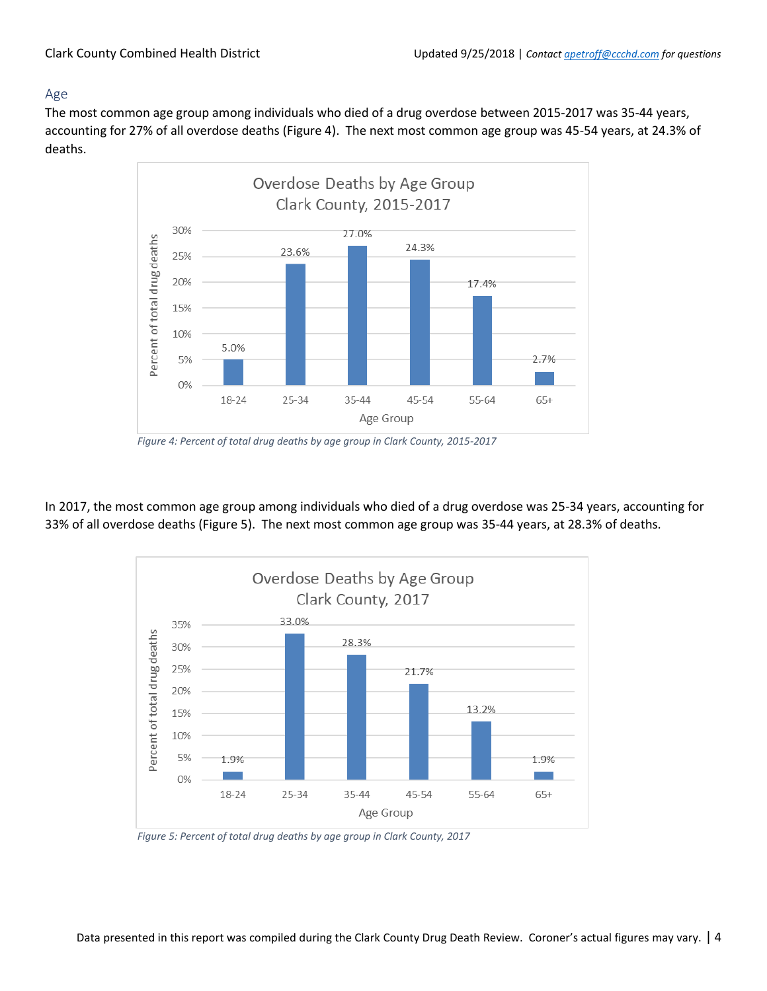### <span id="page-3-0"></span>Age

The most common age group among individuals who died of a drug overdose between 2015-2017 was 35-44 years, accounting for 27% of all overdose deaths (Figure 4). The next most common age group was 45-54 years, at 24.3% of deaths.



*Figure 4: Percent of total drug deaths by age group in Clark County, 2015-2017*

In 2017, the most common age group among individuals who died of a drug overdose was 25-34 years, accounting for 33% of all overdose deaths (Figure 5). The next most common age group was 35-44 years, at 28.3% of deaths.



*Figure 5: Percent of total drug deaths by age group in Clark County, 2017*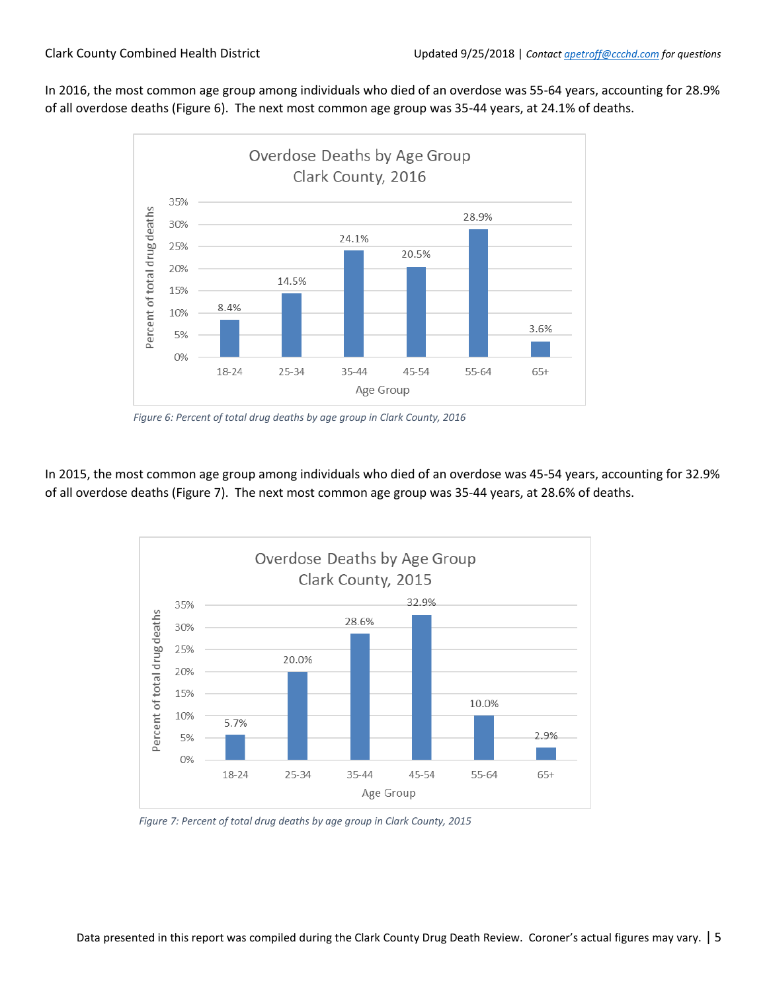In 2016, the most common age group among individuals who died of an overdose was 55-64 years, accounting for 28.9% of all overdose deaths (Figure 6). The next most common age group was 35-44 years, at 24.1% of deaths.



*Figure 6: Percent of total drug deaths by age group in Clark County, 2016*

In 2015, the most common age group among individuals who died of an overdose was 45-54 years, accounting for 32.9% of all overdose deaths (Figure 7). The next most common age group was 35-44 years, at 28.6% of deaths.



*Figure 7: Percent of total drug deaths by age group in Clark County, 2015*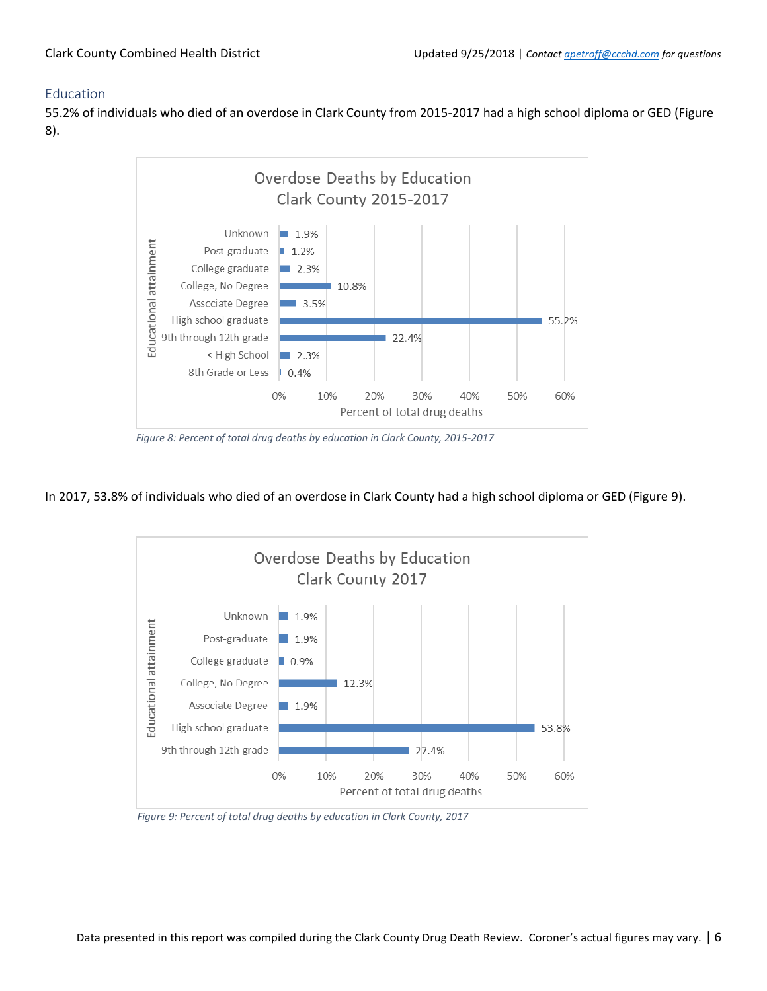### <span id="page-5-0"></span>Education

55.2% of individuals who died of an overdose in Clark County from 2015-2017 had a high school diploma or GED (Figure 8).



*Figure 8: Percent of total drug deaths by education in Clark County, 2015-2017*

### In 2017, 53.8% of individuals who died of an overdose in Clark County had a high school diploma or GED (Figure 9).



*Figure 9: Percent of total drug deaths by education in Clark County, 2017*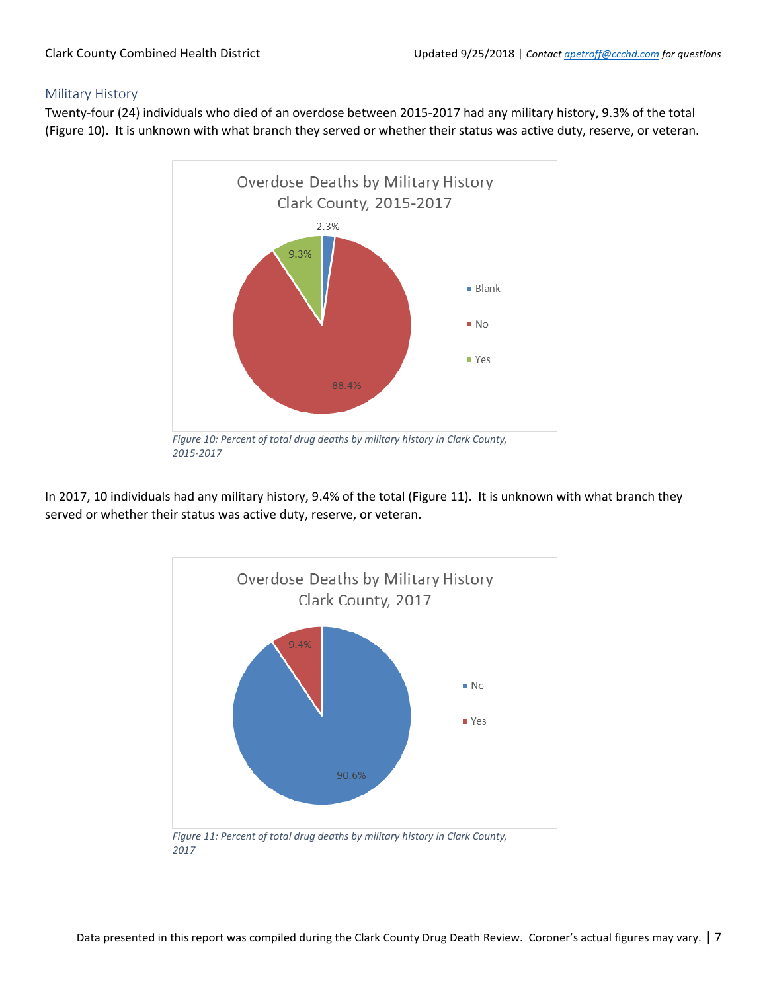#### <span id="page-6-0"></span>Military History

Twenty-four (24) individuals who died of an overdose between 2015-2017 had any military history, 9.3% of the total (Figure 10). It is unknown with what branch they served or whether their status was active duty, reserve, or veteran.



In 2017, 10 individuals had any military history, 9.4% of the total (Figure 11). It is unknown with what branch they served or whether their status was active duty, reserve, or veteran.



*2017*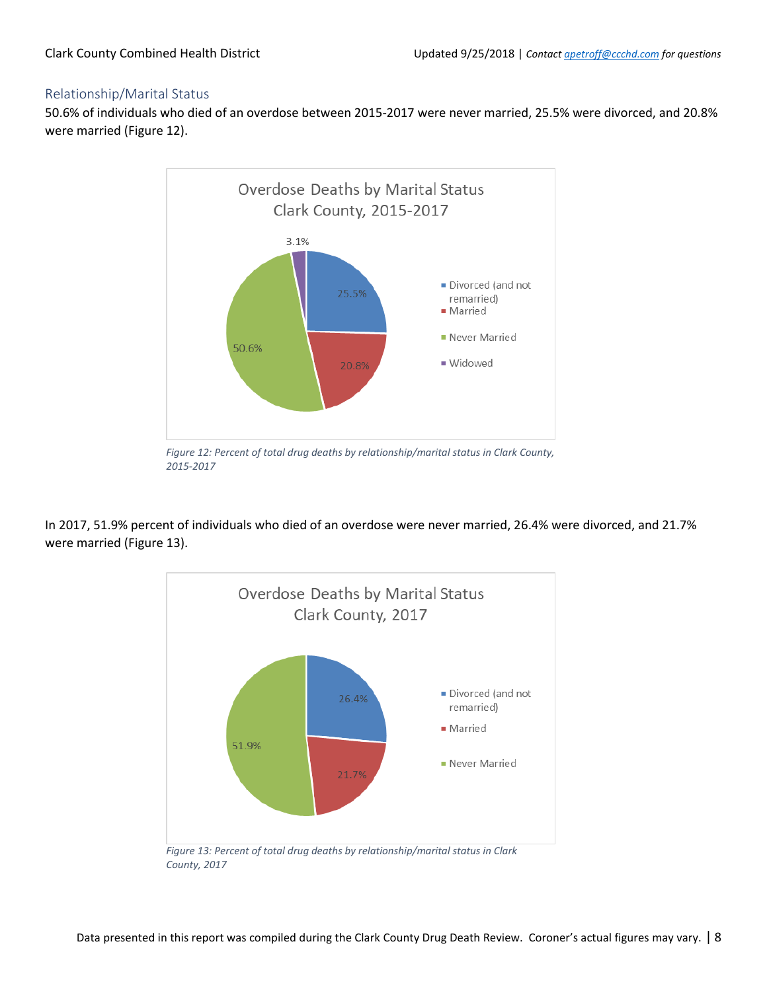#### <span id="page-7-0"></span>Relationship/Marital Status

50.6% of individuals who died of an overdose between 2015-2017 were never married, 25.5% were divorced, and 20.8% were married (Figure 12).



*Figure 12: Percent of total drug deaths by relationship/marital status in Clark County, 2015-2017*

In 2017, 51.9% percent of individuals who died of an overdose were never married, 26.4% were divorced, and 21.7% were married (Figure 13).



*Figure 13: Percent of total drug deaths by relationship/marital status in Clark County, 2017*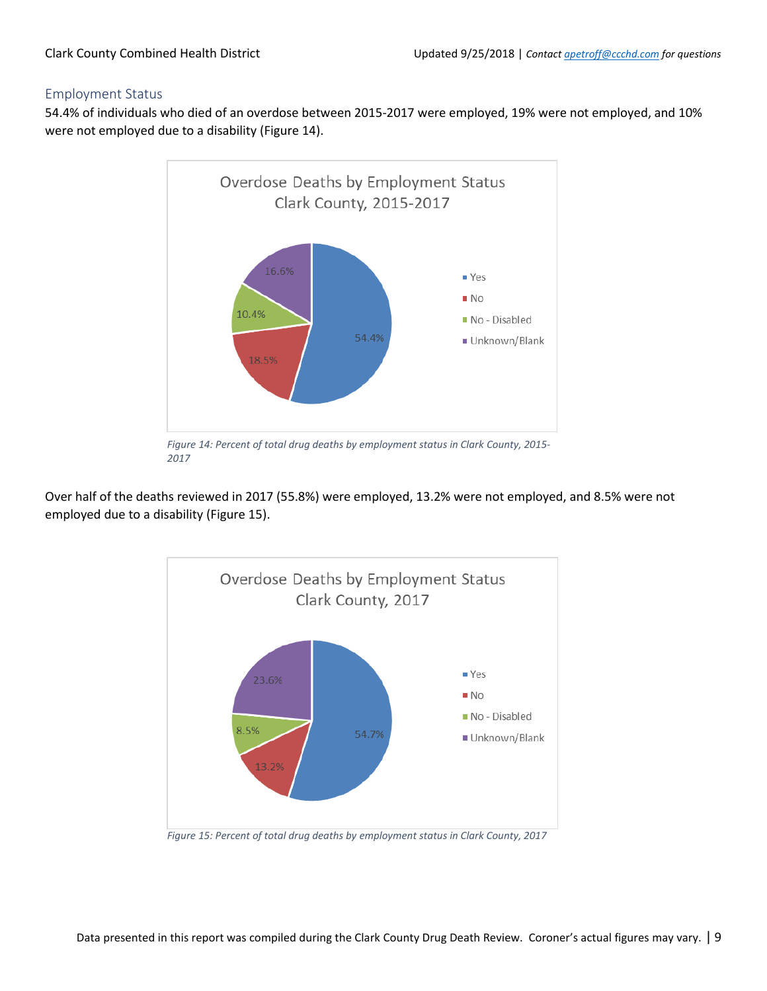#### <span id="page-8-0"></span>Employment Status

54.4% of individuals who died of an overdose between 2015-2017 were employed, 19% were not employed, and 10% were not employed due to a disability (Figure 14).



*Figure 14: Percent of total drug deaths by employment status in Clark County, 2015- 2017*

Over half of the deaths reviewed in 2017 (55.8%) were employed, 13.2% were not employed, and 8.5% were not employed due to a disability (Figure 15).



*Figure 15: Percent of total drug deaths by employment status in Clark County, 2017*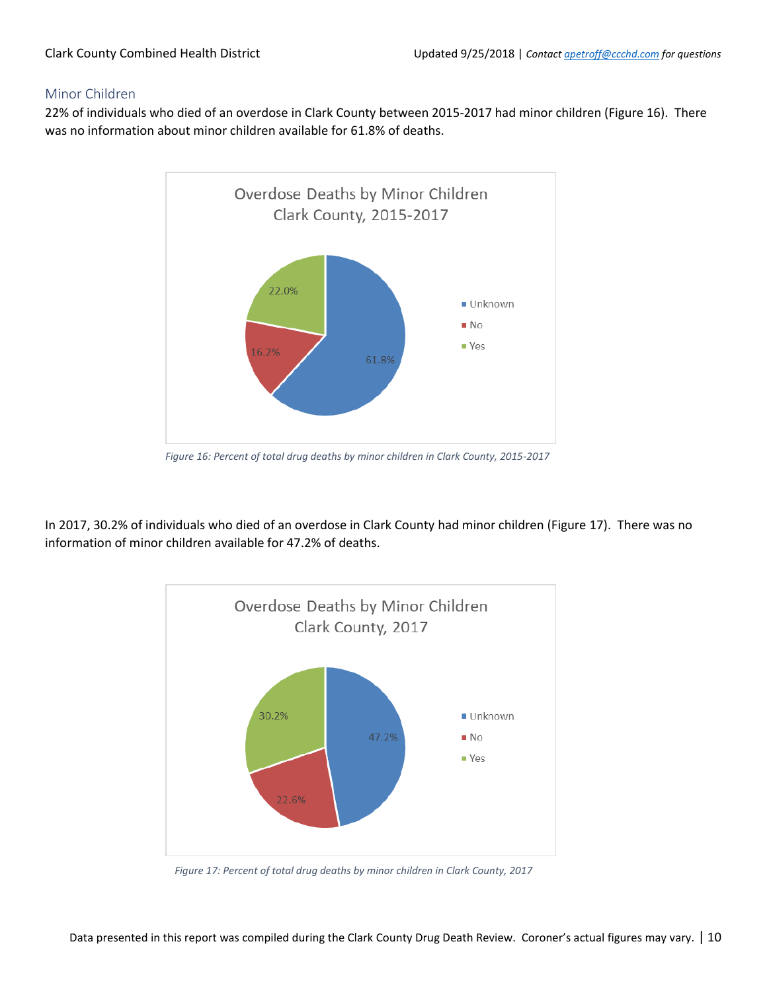#### <span id="page-9-0"></span>Minor Children

22% of individuals who died of an overdose in Clark County between 2015-2017 had minor children (Figure 16). There was no information about minor children available for 61.8% of deaths.



*Figure 16: Percent of total drug deaths by minor children in Clark County, 2015-2017*

In 2017, 30.2% of individuals who died of an overdose in Clark County had minor children (Figure 17). There was no information of minor children available for 47.2% of deaths.



*Figure 17: Percent of total drug deaths by minor children in Clark County, 2017*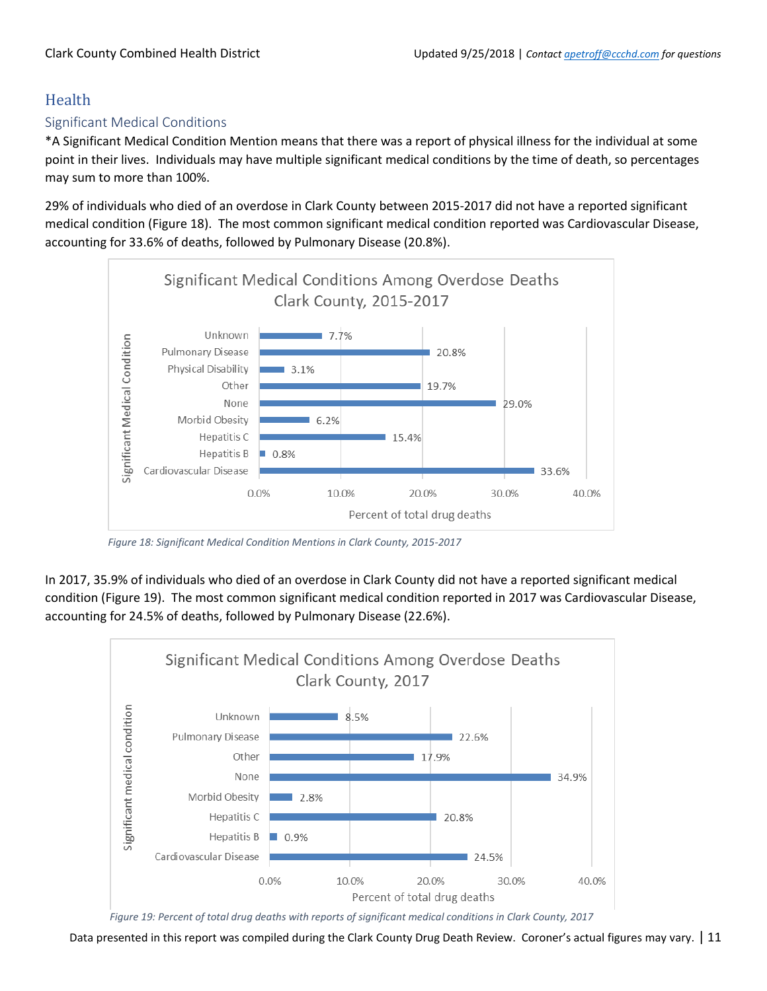### <span id="page-10-0"></span>Health

### <span id="page-10-1"></span>Significant Medical Conditions

\*A Significant Medical Condition Mention means that there was a report of physical illness for the individual at some point in their lives. Individuals may have multiple significant medical conditions by the time of death, so percentages may sum to more than 100%.

29% of individuals who died of an overdose in Clark County between 2015-2017 did not have a reported significant medical condition (Figure 18). The most common significant medical condition reported was Cardiovascular Disease, accounting for 33.6% of deaths, followed by Pulmonary Disease (20.8%).



*Figure 18: Significant Medical Condition Mentions in Clark County, 2015-2017*

In 2017, 35.9% of individuals who died of an overdose in Clark County did not have a reported significant medical condition (Figure 19). The most common significant medical condition reported in 2017 was Cardiovascular Disease, accounting for 24.5% of deaths, followed by Pulmonary Disease (22.6%).



*Figure 19: Percent of total drug deaths with reports of significant medical conditions in Clark County, 2017*

Data presented in this report was compiled during the Clark County Drug Death Review. Coroner's actual figures may vary. | 11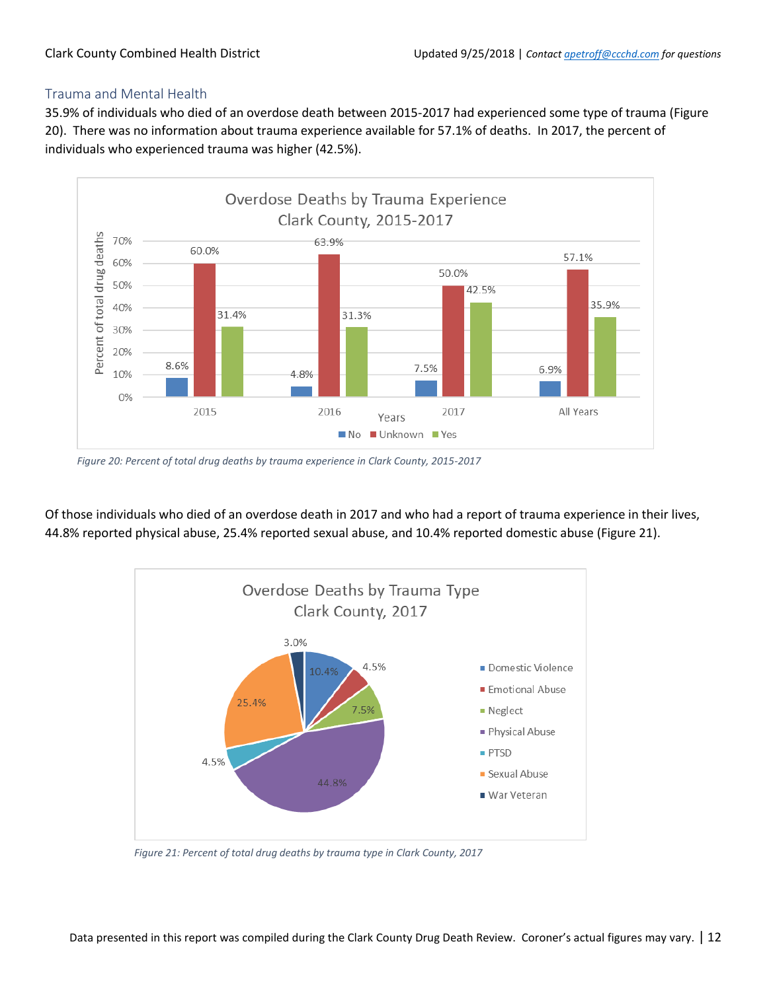### <span id="page-11-0"></span>Trauma and Mental Health

35.9% of individuals who died of an overdose death between 2015-2017 had experienced some type of trauma (Figure 20). There was no information about trauma experience available for 57.1% of deaths. In 2017, the percent of individuals who experienced trauma was higher (42.5%).



*Figure 20: Percent of total drug deaths by trauma experience in Clark County, 2015-2017*

Of those individuals who died of an overdose death in 2017 and who had a report of trauma experience in their lives, 44.8% reported physical abuse, 25.4% reported sexual abuse, and 10.4% reported domestic abuse (Figure 21).



*Figure 21: Percent of total drug deaths by trauma type in Clark County, 2017*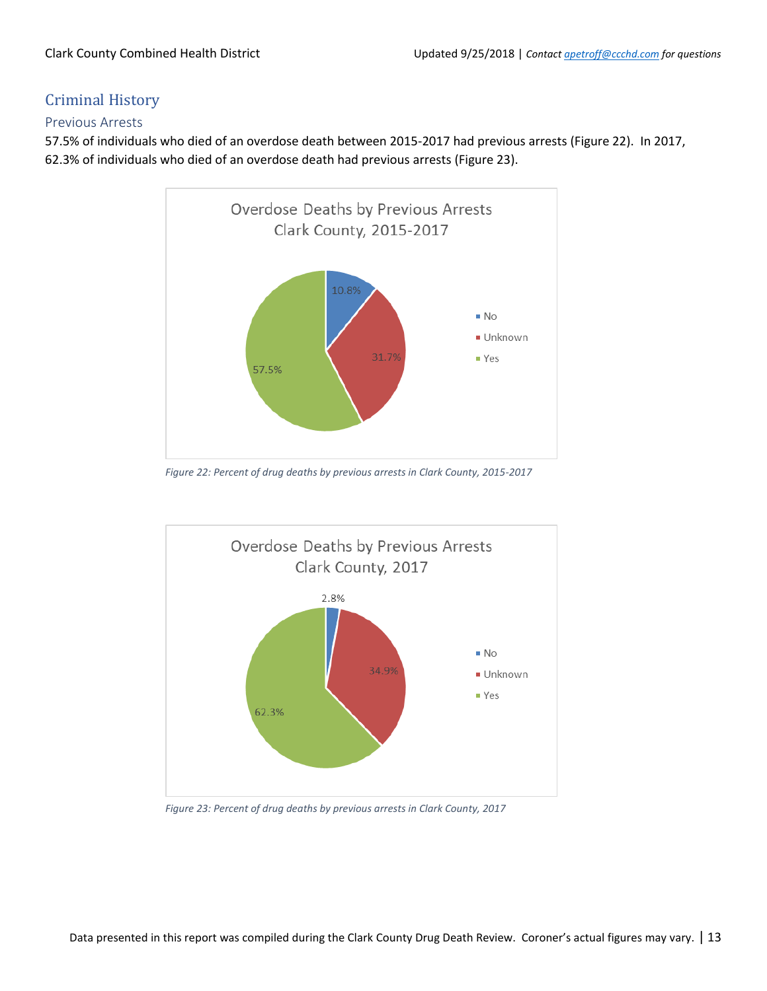### <span id="page-12-0"></span>Criminal History

### <span id="page-12-1"></span>Previous Arrests

57.5% of individuals who died of an overdose death between 2015-2017 had previous arrests (Figure 22). In 2017, 62.3% of individuals who died of an overdose death had previous arrests (Figure 23).



*Figure 22: Percent of drug deaths by previous arrests in Clark County, 2015-2017*



*Figure 23: Percent of drug deaths by previous arrests in Clark County, 2017*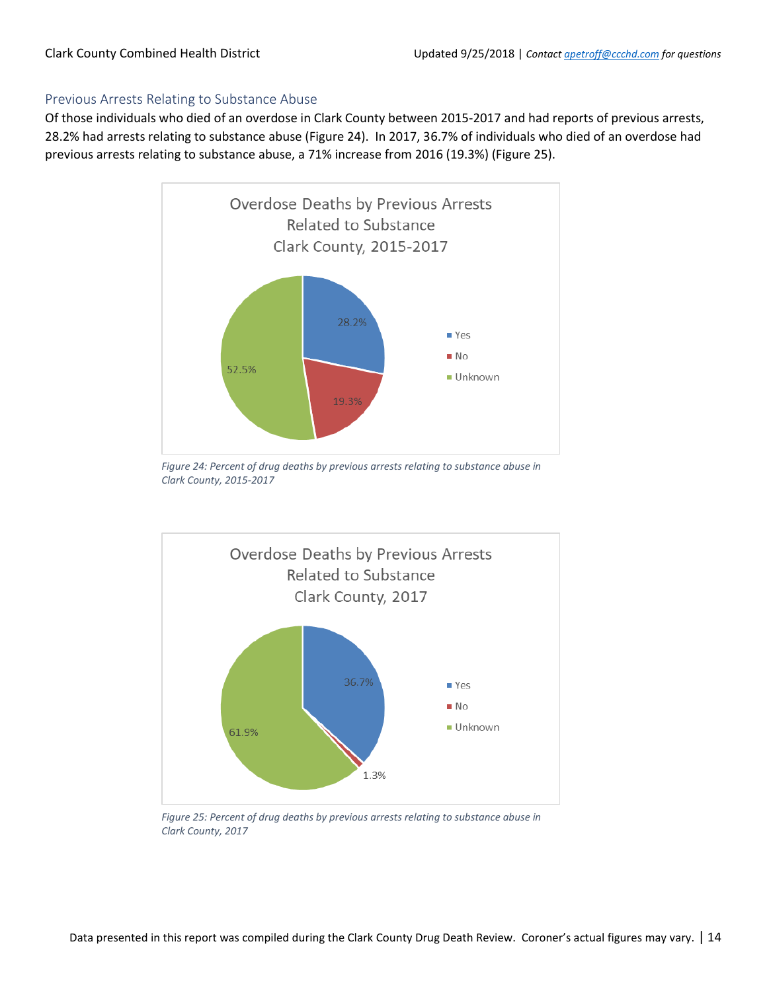### <span id="page-13-0"></span>Previous Arrests Relating to Substance Abuse

Of those individuals who died of an overdose in Clark County between 2015-2017 and had reports of previous arrests, 28.2% had arrests relating to substance abuse (Figure 24). In 2017, 36.7% of individuals who died of an overdose had previous arrests relating to substance abuse, a 71% increase from 2016 (19.3%) (Figure 25).



*Figure 24: Percent of drug deaths by previous arrests relating to substance abuse in Clark County, 2015-2017*



*Figure 25: Percent of drug deaths by previous arrests relating to substance abuse in Clark County, 2017*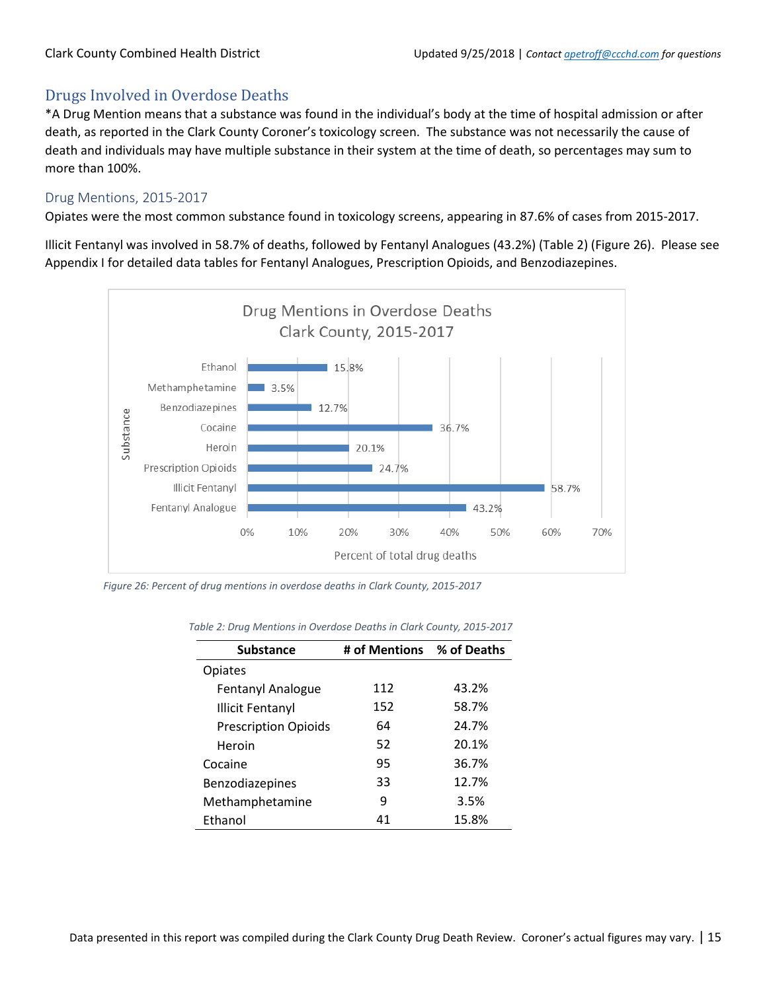### <span id="page-14-0"></span>Drugs Involved in Overdose Deaths

\*A Drug Mention means that a substance was found in the individual's body at the time of hospital admission or after death, as reported in the Clark County Coroner's toxicology screen. The substance was not necessarily the cause of death and individuals may have multiple substance in their system at the time of death, so percentages may sum to more than 100%.

### <span id="page-14-1"></span>Drug Mentions, 2015-2017

Opiates were the most common substance found in toxicology screens, appearing in 87.6% of cases from 2015-2017.

Illicit Fentanyl was involved in 58.7% of deaths, followed by Fentanyl Analogues (43.2%) (Table 2) (Figure 26). Please see Appendix I for detailed data tables for Fentanyl Analogues, Prescription Opioids, and Benzodiazepines.



*Figure 26: Percent of drug mentions in overdose deaths in Clark County, 2015-2017*

| <b>Substance</b>            | # of Mentions % of Deaths |       |
|-----------------------------|---------------------------|-------|
| <b>Opiates</b>              |                           |       |
| Fentanyl Analogue           | 112                       | 43.2% |
| <b>Illicit Fentanyl</b>     | 152                       | 58.7% |
| <b>Prescription Opioids</b> | 64                        | 24.7% |
| Heroin                      | 52                        | 20.1% |
| Cocaine                     | 95                        | 36.7% |
| Benzodiazepines             | 33                        | 12.7% |
| Methamphetamine             | q                         | 3.5%  |
| Ethanol                     | 41                        | 15.8% |

*Table 2: Drug Mentions in Overdose Deaths in Clark County, 2015-2017*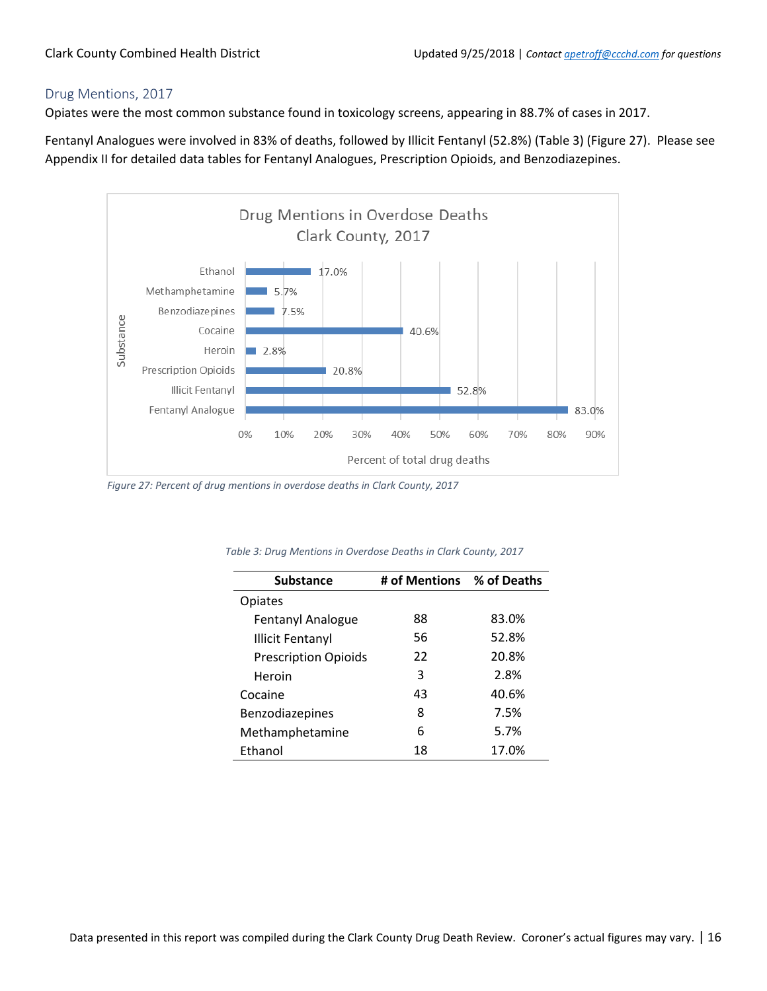### <span id="page-15-0"></span>Drug Mentions, 2017

Opiates were the most common substance found in toxicology screens, appearing in 88.7% of cases in 2017.

Fentanyl Analogues were involved in 83% of deaths, followed by Illicit Fentanyl (52.8%) (Table 3) (Figure 27). Please see Appendix II for detailed data tables for Fentanyl Analogues, Prescription Opioids, and Benzodiazepines.



*Figure 27: Percent of drug mentions in overdose deaths in Clark County, 2017*

| <b>Substance</b>            | # of Mentions % of Deaths |       |
|-----------------------------|---------------------------|-------|
| Opiates                     |                           |       |
| <b>Fentanyl Analogue</b>    | 88                        | 83.0% |
| <b>Illicit Fentanyl</b>     | 56                        | 52.8% |
| <b>Prescription Opioids</b> | 22                        | 20.8% |
| Heroin                      | 3                         | 2.8%  |
| Cocaine                     | 43                        | 40.6% |
| Benzodiazepines             | 8                         | 7.5%  |
| Methamphetamine             | 6                         | 5.7%  |
| Ethanol                     | 18                        | 17.0% |

*Table 3: Drug Mentions in Overdose Deaths in Clark County, 2017*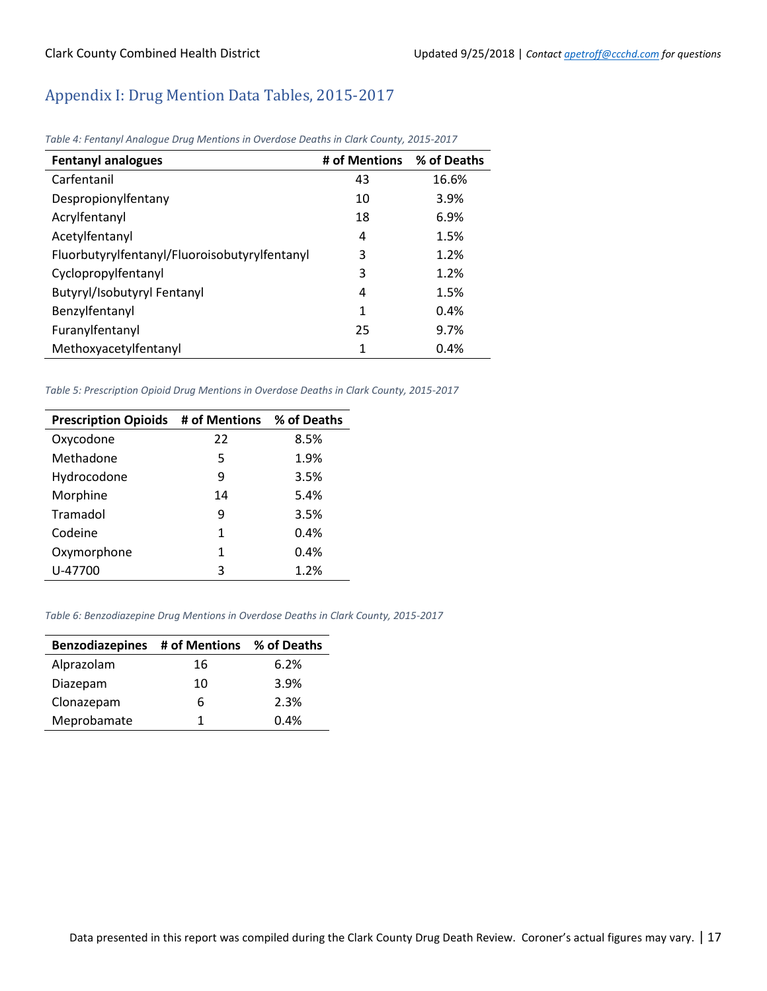### <span id="page-16-0"></span>Appendix I: Drug Mention Data Tables, 2015-2017

| <b>Fentanyl analogues</b>                     | # of Mentions | % of Deaths |
|-----------------------------------------------|---------------|-------------|
| Carfentanil                                   | 43            | 16.6%       |
| Despropionylfentany                           | 10            | 3.9%        |
| Acrylfentanyl                                 | 18            | 6.9%        |
| Acetylfentanyl                                | 4             | 1.5%        |
| Fluorbutyrylfentanyl/Fluoroisobutyrylfentanyl | 3             | 1.2%        |
| Cyclopropylfentanyl                           | 3             | 1.2%        |
| Butyryl/Isobutyryl Fentanyl                   | 4             | 1.5%        |
| Benzylfentanyl                                | 1             | 0.4%        |
| Furanylfentanyl                               | 25            | 9.7%        |
| Methoxyacetylfentanyl                         | 1             | 0.4%        |

*Table 4: Fentanyl Analogue Drug Mentions in Overdose Deaths in Clark County, 2015-2017*

*Table 5: Prescription Opioid Drug Mentions in Overdose Deaths in Clark County, 2015-2017*

| Prescription Opioids # of Mentions % of Deaths |    |      |
|------------------------------------------------|----|------|
| Oxycodone                                      | 22 | 8.5% |
| Methadone                                      | 5  | 1.9% |
| Hydrocodone                                    | 9  | 3.5% |
| Morphine                                       | 14 | 5.4% |
| Tramadol                                       | 9  | 3.5% |
| Codeine                                        | 1  | 0.4% |
| Oxymorphone                                    | 1  | 0.4% |
| U-47700                                        | 3  | 1.2% |

*Table 6: Benzodiazepine Drug Mentions in Overdose Deaths in Clark County, 2015-2017*

| Benzodiazepines # of Mentions % of Deaths |    |      |
|-------------------------------------------|----|------|
| Alprazolam                                | 16 | 6.2% |
| Diazepam                                  | 10 | 3.9% |
| Clonazepam                                | 6  | 2.3% |
| Meprobamate                               | 1  | 0.4% |